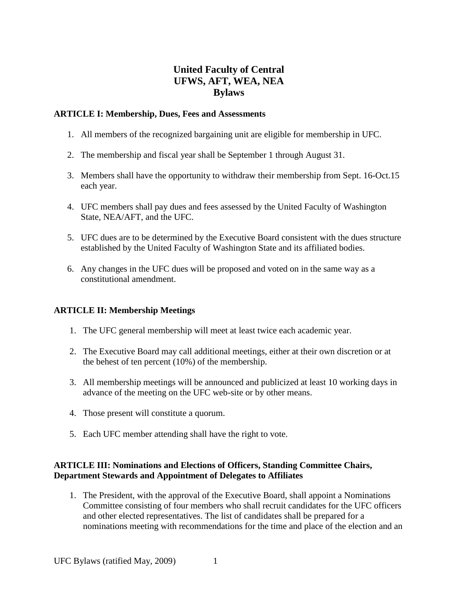# **United Faculty of Central UFWS, AFT, WEA, NEA Bylaws**

#### **ARTICLE I: Membership, Dues, Fees and Assessments**

- 1. All members of the recognized bargaining unit are eligible for membership in UFC.
- 2. The membership and fiscal year shall be September 1 through August 31.
- 3. Members shall have the opportunity to withdraw their membership from Sept. 16-Oct.15 each year.
- 4. UFC members shall pay dues and fees assessed by the United Faculty of Washington State, NEA/AFT, and the UFC.
- 5. UFC dues are to be determined by the Executive Board consistent with the dues structure established by the United Faculty of Washington State and its affiliated bodies.
- 6. Any changes in the UFC dues will be proposed and voted on in the same way as a constitutional amendment.

## **ARTICLE II: Membership Meetings**

- 1. The UFC general membership will meet at least twice each academic year.
- 2. The Executive Board may call additional meetings, either at their own discretion or at the behest of ten percent (10%) of the membership.
- 3. All membership meetings will be announced and publicized at least 10 working days in advance of the meeting on the UFC web-site or by other means.
- 4. Those present will constitute a quorum.
- 5. Each UFC member attending shall have the right to vote.

#### **ARTICLE III: Nominations and Elections of Officers, Standing Committee Chairs, Department Stewards and Appointment of Delegates to Affiliates**

1. The President, with the approval of the Executive Board, shall appoint a Nominations Committee consisting of four members who shall recruit candidates for the UFC officers and other elected representatives. The list of candidates shall be prepared for a nominations meeting with recommendations for the time and place of the election and an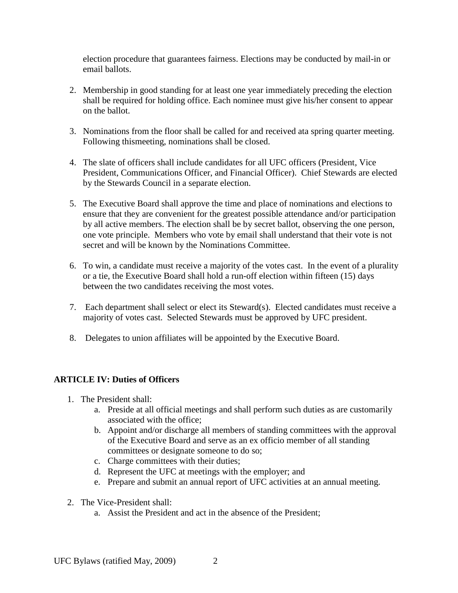election procedure that guarantees fairness. Elections may be conducted by mail-in or email ballots.

- 2. Membership in good standing for at least one year immediately preceding the election shall be required for holding office. Each nominee must give his/her consent to appear on the ballot.
- 3. Nominations from the floor shall be called for and received ata spring quarter meeting. Following thismeeting, nominations shall be closed.
- 4. The slate of officers shall include candidates for all UFC officers (President, Vice President, Communications Officer, and Financial Officer). Chief Stewards are elected by the Stewards Council in a separate election.
- 5. The Executive Board shall approve the time and place of nominations and elections to ensure that they are convenient for the greatest possible attendance and/or participation by all active members. The election shall be by secret ballot, observing the one person, one vote principle. Members who vote by email shall understand that their vote is not secret and will be known by the Nominations Committee.
- 6. To win, a candidate must receive a majority of the votes cast. In the event of a plurality or a tie, the Executive Board shall hold a run-off election within fifteen (15) days between the two candidates receiving the most votes.
- 7. Each department shall select or elect its Steward(s). Elected candidates must receive a majority of votes cast. Selected Stewards must be approved by UFC president.
- 8. Delegates to union affiliates will be appointed by the Executive Board.

## **ARTICLE IV: Duties of Officers**

- 1. The President shall:
	- a. Preside at all official meetings and shall perform such duties as are customarily associated with the office;
	- b. Appoint and/or discharge all members of standing committees with the approval of the Executive Board and serve as an ex officio member of all standing committees or designate someone to do so;
	- c. Charge committees with their duties;
	- d. Represent the UFC at meetings with the employer; and
	- e. Prepare and submit an annual report of UFC activities at an annual meeting.
- 2. The Vice-President shall:
	- a. Assist the President and act in the absence of the President;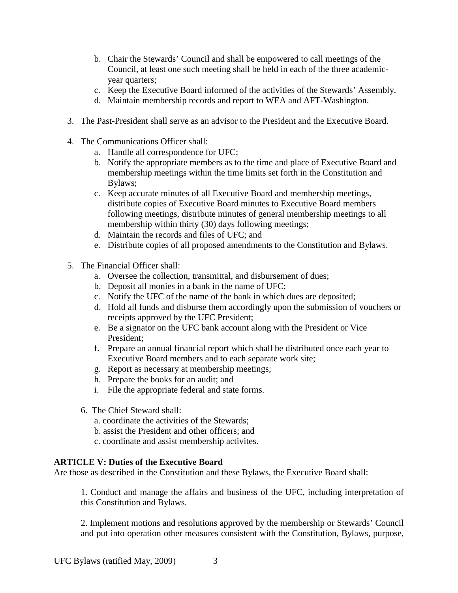- b. Chair the Stewards' Council and shall be empowered to call meetings of the Council, at least one such meeting shall be held in each of the three academicyear quarters;
- c. Keep the Executive Board informed of the activities of the Stewards' Assembly.
- d. Maintain membership records and report to WEA and AFT-Washington.
- 3. The Past-President shall serve as an advisor to the President and the Executive Board.
- 4. The Communications Officer shall:
	- a. Handle all correspondence for UFC;
	- b. Notify the appropriate members as to the time and place of Executive Board and membership meetings within the time limits set forth in the Constitution and Bylaws;
	- c. Keep accurate minutes of all Executive Board and membership meetings, distribute copies of Executive Board minutes to Executive Board members following meetings, distribute minutes of general membership meetings to all membership within thirty (30) days following meetings;
	- d. Maintain the records and files of UFC; and
	- e. Distribute copies of all proposed amendments to the Constitution and Bylaws.
- 5. The Financial Officer shall:
	- a. Oversee the collection, transmittal, and disbursement of dues;
	- b. Deposit all monies in a bank in the name of UFC;
	- c. Notify the UFC of the name of the bank in which dues are deposited;
	- d. Hold all funds and disburse them accordingly upon the submission of vouchers or receipts approved by the UFC President;
	- e. Be a signator on the UFC bank account along with the President or Vice President;
	- f. Prepare an annual financial report which shall be distributed once each year to Executive Board members and to each separate work site;
	- g. Report as necessary at membership meetings;
	- h. Prepare the books for an audit; and
	- i. File the appropriate federal and state forms.
	- 6. The Chief Steward shall:
		- a. coordinate the activities of the Stewards;
		- b. assist the President and other officers; and
		- c. coordinate and assist membership activites.

## **ARTICLE V: Duties of the Executive Board**

Are those as described in the Constitution and these Bylaws, the Executive Board shall:

1. Conduct and manage the affairs and business of the UFC, including interpretation of this Constitution and Bylaws.

2. Implement motions and resolutions approved by the membership or Stewards' Council and put into operation other measures consistent with the Constitution, Bylaws, purpose,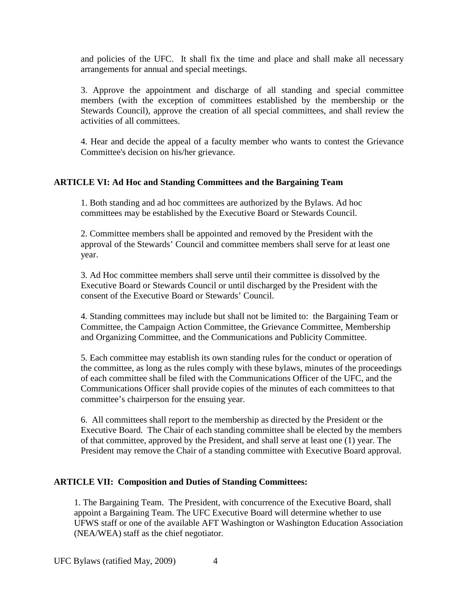and policies of the UFC. It shall fix the time and place and shall make all necessary arrangements for annual and special meetings.

3. Approve the appointment and discharge of all standing and special committee members (with the exception of committees established by the membership or the Stewards Council), approve the creation of all special committees, and shall review the activities of all committees.

4. Hear and decide the appeal of a faculty member who wants to contest the Grievance Committee's decision on his/her grievance.

#### **ARTICLE VI: Ad Hoc and Standing Committees and the Bargaining Team**

1. Both standing and ad hoc committees are authorized by the Bylaws. Ad hoc committees may be established by the Executive Board or Stewards Council.

2. Committee members shall be appointed and removed by the President with the approval of the Stewards' Council and committee members shall serve for at least one year.

3. Ad Hoc committee members shall serve until their committee is dissolved by the Executive Board or Stewards Council or until discharged by the President with the consent of the Executive Board or Stewards' Council.

4. Standing committees may include but shall not be limited to: the Bargaining Team or Committee, the Campaign Action Committee, the Grievance Committee, Membership and Organizing Committee, and the Communications and Publicity Committee.

5. Each committee may establish its own standing rules for the conduct or operation of the committee, as long as the rules comply with these bylaws, minutes of the proceedings of each committee shall be filed with the Communications Officer of the UFC, and the Communications Officer shall provide copies of the minutes of each committees to that committee's chairperson for the ensuing year.

6. All committees shall report to the membership as directed by the President or the Executive Board. The Chair of each standing committee shall be elected by the members of that committee, approved by the President, and shall serve at least one (1) year. The President may remove the Chair of a standing committee with Executive Board approval.

## **ARTICLE VII: Composition and Duties of Standing Committees:**

1. The Bargaining Team. The President, with concurrence of the Executive Board, shall appoint a Bargaining Team. The UFC Executive Board will determine whether to use UFWS staff or one of the available AFT Washington or Washington Education Association (NEA/WEA) staff as the chief negotiator.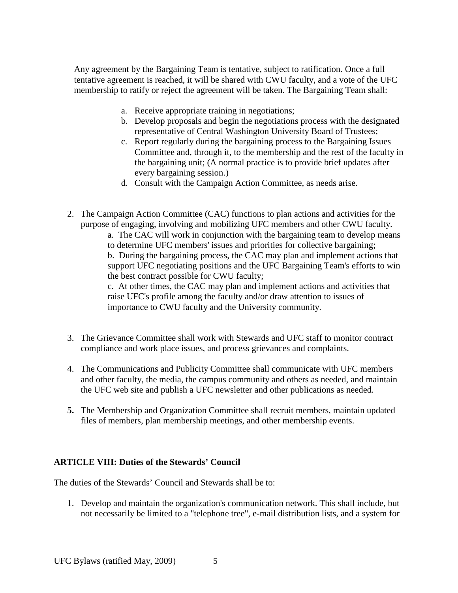Any agreement by the Bargaining Team is tentative, subject to ratification. Once a full tentative agreement is reached, it will be shared with CWU faculty, and a vote of the UFC membership to ratify or reject the agreement will be taken. The Bargaining Team shall:

- a. Receive appropriate training in negotiations;
- b. Develop proposals and begin the negotiations process with the designated representative of Central Washington University Board of Trustees;
- c. Report regularly during the bargaining process to the Bargaining Issues Committee and, through it, to the membership and the rest of the faculty in the bargaining unit; (A normal practice is to provide brief updates after every bargaining session.)
- d. Consult with the Campaign Action Committee, as needs arise.
- 2. The Campaign Action Committee (CAC) functions to plan actions and activities for the purpose of engaging, involving and mobilizing UFC members and other CWU faculty.

a. The CAC will work in conjunction with the bargaining team to develop means to determine UFC members' issues and priorities for collective bargaining; b. During the bargaining process, the CAC may plan and implement actions that support UFC negotiating positions and the UFC Bargaining Team's efforts to win the best contract possible for CWU faculty;

c. At other times, the CAC may plan and implement actions and activities that raise UFC's profile among the faculty and/or draw attention to issues of importance to CWU faculty and the University community.

- 3. The Grievance Committee shall work with Stewards and UFC staff to monitor contract compliance and work place issues, and process grievances and complaints.
- 4. The Communications and Publicity Committee shall communicate with UFC members and other faculty, the media, the campus community and others as needed, and maintain the UFC web site and publish a UFC newsletter and other publications as needed.
- **5.** The Membership and Organization Committee shall recruit members, maintain updated files of members, plan membership meetings, and other membership events.

#### **ARTICLE VIII: Duties of the Stewards' Council**

The duties of the Stewards' Council and Stewards shall be to:

1. Develop and maintain the organization's communication network. This shall include, but not necessarily be limited to a "telephone tree", e-mail distribution lists, and a system for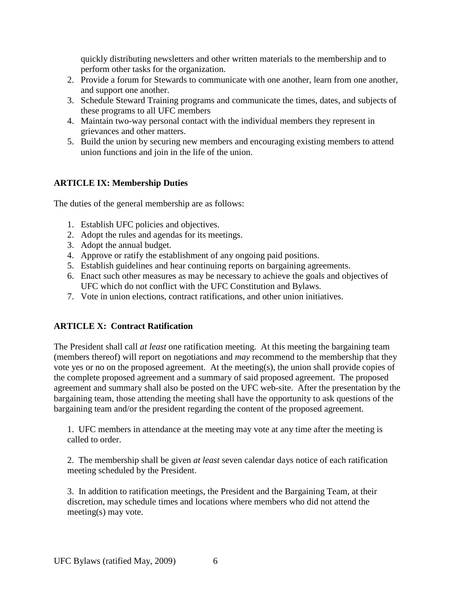quickly distributing newsletters and other written materials to the membership and to perform other tasks for the organization.

- 2. Provide a forum for Stewards to communicate with one another, learn from one another, and support one another.
- 3. Schedule Steward Training programs and communicate the times, dates, and subjects of these programs to all UFC members
- 4. Maintain two-way personal contact with the individual members they represent in grievances and other matters.
- 5. Build the union by securing new members and encouraging existing members to attend union functions and join in the life of the union.

## **ARTICLE IX: Membership Duties**

The duties of the general membership are as follows:

- 1. Establish UFC policies and objectives.
- 2. Adopt the rules and agendas for its meetings.
- 3. Adopt the annual budget.
- 4. Approve or ratify the establishment of any ongoing paid positions.
- 5. Establish guidelines and hear continuing reports on bargaining agreements.
- 6. Enact such other measures as may be necessary to achieve the goals and objectives of UFC which do not conflict with the UFC Constitution and Bylaws.
- 7. Vote in union elections, contract ratifications, and other union initiatives.

## **ARTICLE X: Contract Ratification**

The President shall call *at least* one ratification meeting. At this meeting the bargaining team (members thereof) will report on negotiations and *may* recommend to the membership that they vote yes or no on the proposed agreement. At the meeting(s), the union shall provide copies of the complete proposed agreement and a summary of said proposed agreement. The proposed agreement and summary shall also be posted on the UFC web-site. After the presentation by the bargaining team, those attending the meeting shall have the opportunity to ask questions of the bargaining team and/or the president regarding the content of the proposed agreement.

1. UFC members in attendance at the meeting may vote at any time after the meeting is called to order.

2. The membership shall be given *at least* seven calendar days notice of each ratification meeting scheduled by the President.

3. In addition to ratification meetings, the President and the Bargaining Team, at their discretion, may schedule times and locations where members who did not attend the meeting(s) may vote.